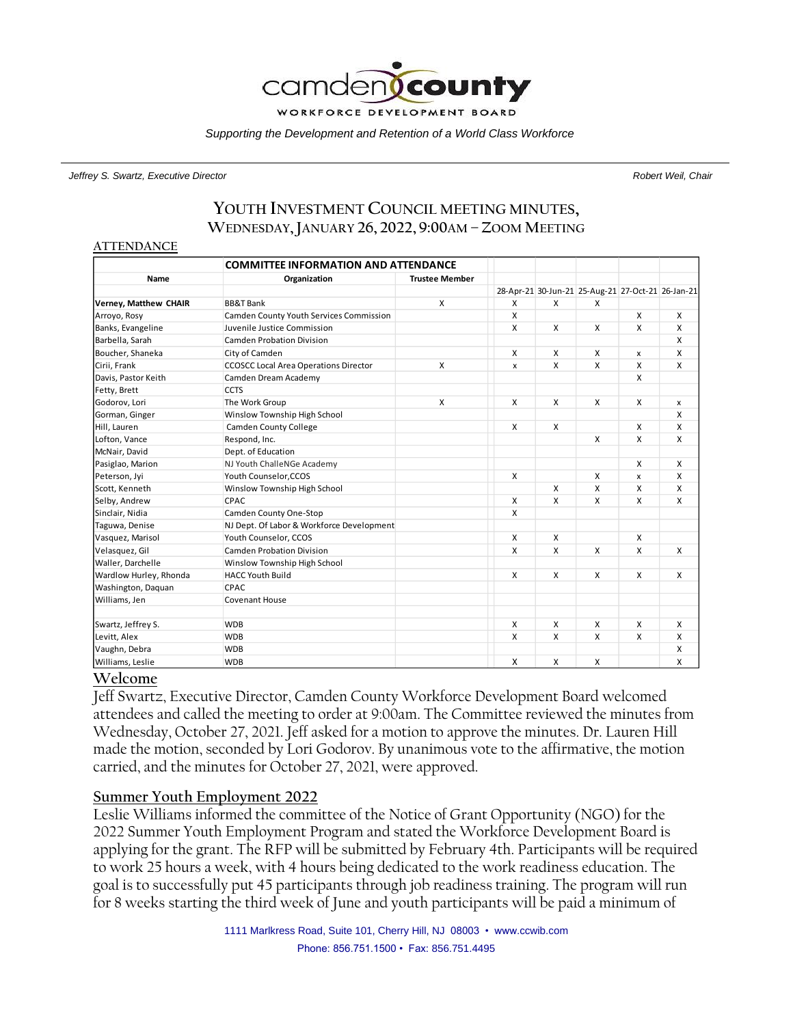

*Supporting the Development and Retention of a World Class Workforce*

#### *Jeffrey S. Swartz, Executive Director Robert Weil, Chair*

# **YOUTH INVESTMENT COUNCIL MEETING MINUTES, WEDNESDAY,JANUARY 26, 2022, 9:00AM – ZOOM MEETING**

#### **ATTENDANCE**

|                        | <b>COMMITTEE INFORMATION AND ATTENDANCE</b>  |                       |   |              |                                                   |              |   |
|------------------------|----------------------------------------------|-----------------------|---|--------------|---------------------------------------------------|--------------|---|
| Name                   | Organization                                 | <b>Trustee Member</b> |   |              |                                                   |              |   |
|                        |                                              |                       |   |              | 28-Apr-21 30-Jun-21 25-Aug-21 27-Oct-21 26-Jan-21 |              |   |
| Verney, Matthew CHAIR  | <b>BB&amp;T Bank</b>                         | x                     | X | X            | X                                                 |              |   |
| Arroyo, Rosy           | Camden County Youth Services Commission      |                       | X |              |                                                   | X            | X |
| Banks, Evangeline      | Juvenile Justice Commission                  |                       | X | $\mathsf{x}$ | X                                                 | X            | X |
| Barbella, Sarah        | <b>Camden Probation Division</b>             |                       |   |              |                                                   |              | X |
| Boucher, Shaneka       | City of Camden                               |                       | X | X            | X                                                 | x            | X |
| Cirii, Frank           | <b>CCOSCC Local Area Operations Director</b> | X                     | X | X            | X                                                 | X            | X |
| Davis, Pastor Keith    | Camden Dream Academy                         |                       |   |              |                                                   | X            |   |
| Fetty, Brett           | <b>CCTS</b>                                  |                       |   |              |                                                   |              |   |
| Godorov, Lori          | The Work Group                               | X                     | X | X            | X                                                 | X            | x |
| Gorman, Ginger         | Winslow Township High School                 |                       |   |              |                                                   |              | X |
| Hill, Lauren           | <b>Camden County College</b>                 |                       | X | X            |                                                   | $\mathsf{x}$ | X |
| Lofton, Vance          | Respond, Inc.                                |                       |   |              | X                                                 | $\mathsf{x}$ | X |
| McNair, David          | Dept. of Education                           |                       |   |              |                                                   |              |   |
| Pasiglao, Marion       | NJ Youth ChalleNGe Academy                   |                       |   |              |                                                   | X            | X |
| Peterson, Jyi          | Youth Counselor.CCOS                         |                       | X |              | X                                                 | X            | X |
| Scott, Kenneth         | Winslow Township High School                 |                       |   | X            | X                                                 | X            | X |
| Selby, Andrew          | CPAC                                         |                       | X | X            | X                                                 | $\mathsf{x}$ | X |
| Sinclair, Nidia        | Camden County One-Stop                       |                       | X |              |                                                   |              |   |
| Taguwa, Denise         | NJ Dept. Of Labor & Workforce Development    |                       |   |              |                                                   |              |   |
| Vasquez, Marisol       | Youth Counselor, CCOS                        |                       | X | X            |                                                   | X            |   |
| Velasquez, Gil         | <b>Camden Probation Division</b>             |                       | X | X            | X                                                 | $\mathsf{x}$ | X |
| Waller, Darchelle      | Winslow Township High School                 |                       |   |              |                                                   |              |   |
| Wardlow Hurley, Rhonda | <b>HACC Youth Build</b>                      |                       | x | X            | x                                                 | X            | X |
| Washington, Daquan     | <b>CPAC</b>                                  |                       |   |              |                                                   |              |   |
| Williams, Jen          | <b>Covenant House</b>                        |                       |   |              |                                                   |              |   |
| Swartz, Jeffrey S.     | <b>WDB</b>                                   |                       | x | X            | x                                                 | X            | X |
| Levitt, Alex           | <b>WDB</b>                                   |                       | X | X            | X                                                 | $\mathsf{x}$ | X |
| Vaughn, Debra          | <b>WDB</b>                                   |                       |   |              |                                                   |              | X |
| Williams, Leslie       | <b>WDB</b>                                   |                       | x | X            | x                                                 |              | X |

#### **Welcome**

Jeff Swartz, Executive Director, Camden County Workforce Development Board welcomed attendees and called the meeting to order at 9:00am. The Committee reviewed the minutes from Wednesday, October 27, 2021. Jeff asked for a motion to approve the minutes. Dr. Lauren Hill made the motion, seconded by Lori Godorov. By unanimous vote to the affirmative, the motion carried, and the minutes for October 27, 2021, were approved.

#### **Summer Youth Employment 2022**

Leslie Williams informed the committee of the Notice of Grant Opportunity (NGO) for the 2022 Summer Youth Employment Program and stated the Workforce Development Board is applying for the grant. The RFP will be submitted by February 4th. Participants will be required to work 25 hours a week, with 4 hours being dedicated to the work readiness education. The goal is to successfully put 45 participants through job readiness training. The program will run for 8 weeks starting the third week of June and youth participants will be paid a minimum of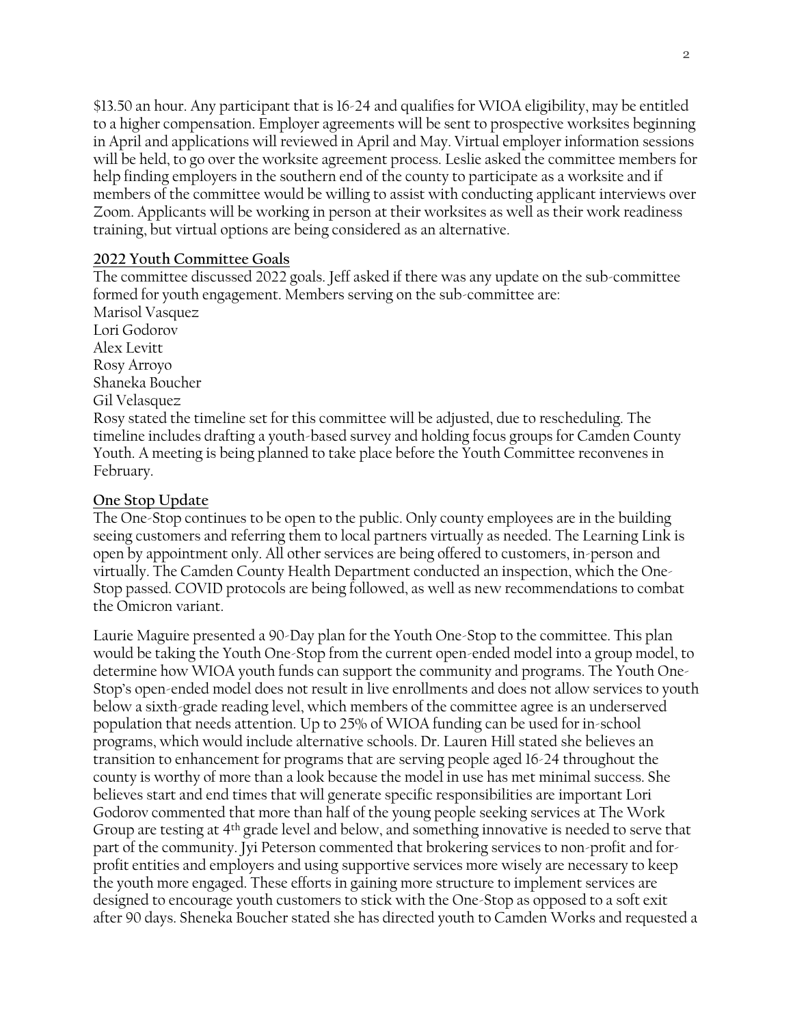\$13.50 an hour. Any participant that is 16-24 and qualifies for WIOA eligibility, may be entitled to a higher compensation. Employer agreements will be sent to prospective worksites beginning in April and applications will reviewed in April and May. Virtual employer information sessions will be held, to go over the worksite agreement process. Leslie asked the committee members for help finding employers in the southern end of the county to participate as a worksite and if members of the committee would be willing to assist with conducting applicant interviews over Zoom. Applicants will be working in person at their worksites as well as their work readiness training, but virtual options are being considered as an alternative.

### **2022 Youth Committee Goals**

The committee discussed 2022 goals. Jeff asked if there was any update on the sub-committee formed for youth engagement. Members serving on the sub-committee are: Marisol Vasquez Lori Godorov Alex Levitt Rosy Arroyo Shaneka Boucher Gil Velasquez Rosy stated the timeline set for this committee will be adjusted, due to rescheduling. The timeline includes drafting a youth-based survey and holding focus groups for Camden County Youth. A meeting is being planned to take place before the Youth Committee reconvenes in February.

### **One Stop Update**

The One-Stop continues to be open to the public. Only county employees are in the building seeing customers and referring them to local partners virtually as needed. The Learning Link is open by appointment only. All other services are being offered to customers, in-person and virtually. The Camden County Health Department conducted an inspection, which the One-Stop passed. COVID protocols are being followed, as well as new recommendations to combat the Omicron variant.

Laurie Maguire presented a 90-Day plan for the Youth One-Stop to the committee. This plan would be taking the Youth One-Stop from the current open-ended model into a group model, to determine how WIOA youth funds can support the community and programs. The Youth One-Stop's open-ended model does not result in live enrollments and does not allow services to youth below a sixth-grade reading level, which members of the committee agree is an underserved population that needs attention. Up to 25% of WIOA funding can be used for in-school programs, which would include alternative schools. Dr. Lauren Hill stated she believes an transition to enhancement for programs that are serving people aged 16-24 throughout the county is worthy of more than a look because the model in use has met minimal success. She believes start and end times that will generate specific responsibilities are important Lori Godorov commented that more than half of the young people seeking services at The Work Group are testing at 4th grade level and below, and something innovative is needed to serve that part of the community. Jyi Peterson commented that brokering services to non-profit and forprofit entities and employers and using supportive services more wisely are necessary to keep the youth more engaged. These efforts in gaining more structure to implement services are designed to encourage youth customers to stick with the One-Stop as opposed to a soft exit after 90 days. Sheneka Boucher stated she has directed youth to Camden Works and requested a